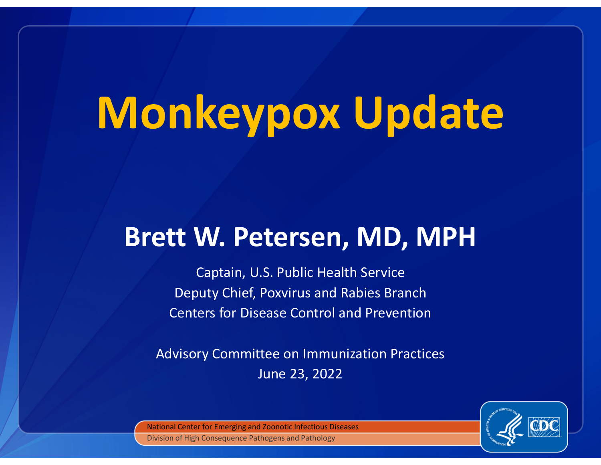# Monkeypox Update

# Brett W. Petersen, MD, MPH

Captain, U.S. Public Health Service Deputy Chief, Poxvirus and Rabies Branch Centers for Disease Control and Prevention

Advisory Committee on Immunization PracticesJune 23, 2022



National Center for Emerging and Zoonotic Infectious DiseasesDivision of High Consequence Pathogens and Pathology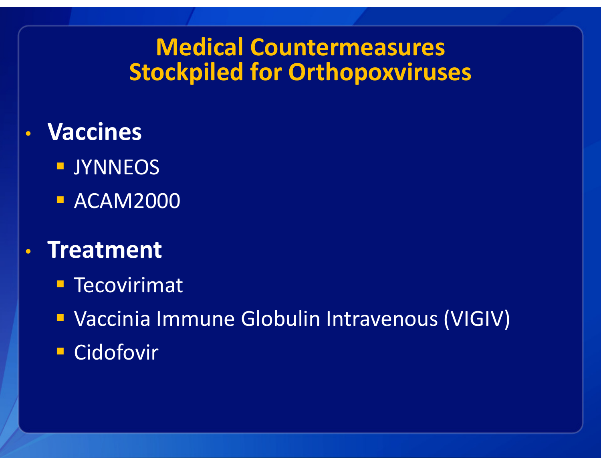# Medical Countermeasures Stockpiled for Orthopoxviruses

- • Vaccines
	- **DESCRIPTION**
	- **ACAM2000**
- • Treatment
	- **Tecovirimat**
	- Vaccinia Immune Globulin Intravenous (VIGIV)
	- Cidofovir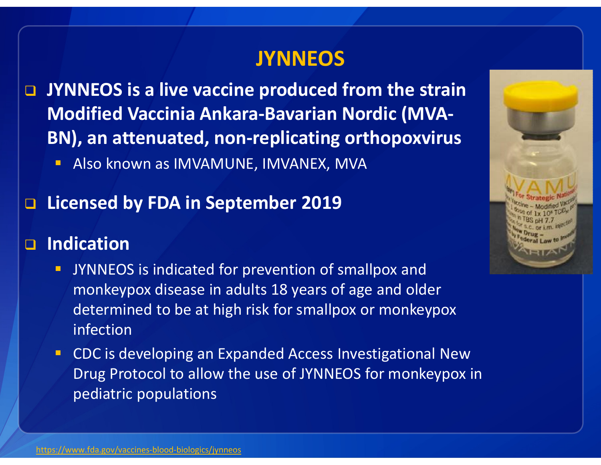#### **JYNNEOS**

- **D** JYNNEOS is a live vaccine produced from the strain Modified Vaccinia Ankara-Bavarian Nordic (MVA-BN), an attenuated, non-replicating orthopoxvirus
	- Also known as IMVAMUNE, IMVANEX, MVA

# □ Licensed by FDA in September 2019

# $\Box$  Indication

- **JYNNEOS** is indicated for prevention of smallpox and monkeypox disease in adults 18 years of age and older determined to be at high risk for smallpox or monkeypox infection
- CDC is developing an Expanded Access Investigational New Drug Protocol to allow the use of JYNNEOS for monkeypox in pediatric populations

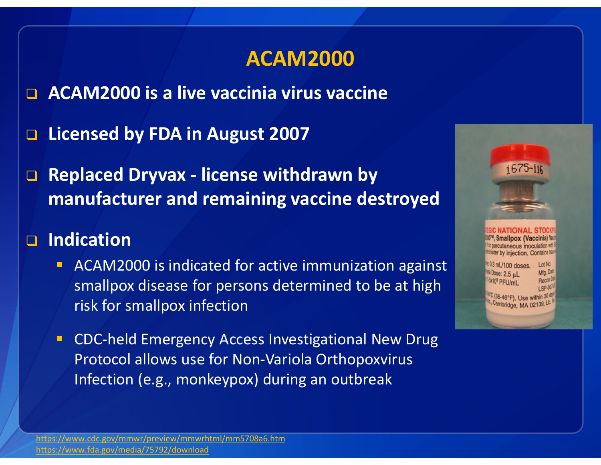#### ACAM2000

□ ACAM2000 is a live vaccinia virus vaccine

- □ Licensed by FDA in August 2007
- $\Box$  Replaced Dryvax - license withdrawn by manufacturer and remaining vaccine destroyed

# □ Indication

- $\blacksquare$  ACAM2000 is indicated for active immunization against smallpox disease for persons determined to be at high risk for smallpox infection
- **EXPC-held Emergency Access Investigational New Drug** Protocol allows use for Non-Variola OrthopoxvirusInfection (e.g., monkeypox) during an outbreak

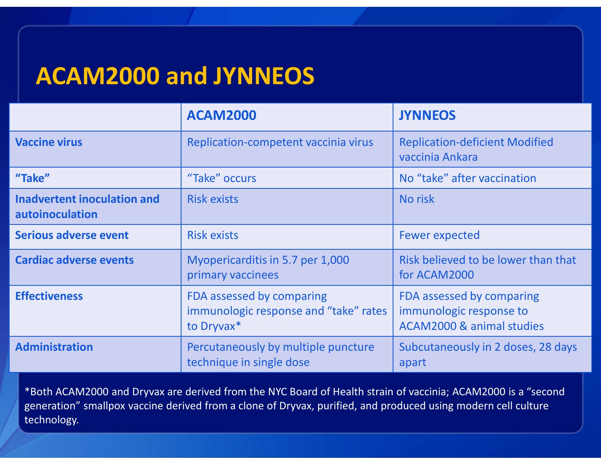# ACAM2000 and JYNNEOS

|                                                       | <b>ACAM2000</b>                                                                  | <b>JYNNEOS</b>                                                                               |  |
|-------------------------------------------------------|----------------------------------------------------------------------------------|----------------------------------------------------------------------------------------------|--|
| <b>Vaccine virus</b>                                  | Replication-competent vaccinia virus                                             | <b>Replication-deficient Modified</b><br>vaccinia Ankara                                     |  |
| "Take"                                                | "Take" occurs                                                                    | No "take" after vaccination                                                                  |  |
| <b>Inadvertent inoculation and</b><br>autoinoculation | <b>Risk exists</b>                                                               | No risk                                                                                      |  |
| <b>Serious adverse event</b>                          | <b>Risk exists</b>                                                               | <b>Fewer expected</b>                                                                        |  |
| <b>Cardiac adverse events</b>                         | Myopericarditis in 5.7 per 1,000<br>primary vaccinees                            | Risk believed to be lower than that<br>for ACAM2000                                          |  |
| <b>Effectiveness</b>                                  | FDA assessed by comparing<br>immunologic response and "take" rates<br>to Dryvax* | FDA assessed by comparing<br>immunologic response to<br><b>ACAM2000 &amp; animal studies</b> |  |
| <b>Administration</b>                                 | Percutaneously by multiple puncture<br>technique in single dose                  | Subcutaneously in 2 doses, 28 days<br>apart                                                  |  |

\*Both ACAM2000 and Dryvax are derived from the NYC Board of Health strain of vaccinia; ACAM2000 is a "second generation" smallpox vaccine derived from a clone of Dryvax, purified, and produced using modern cell culture technology.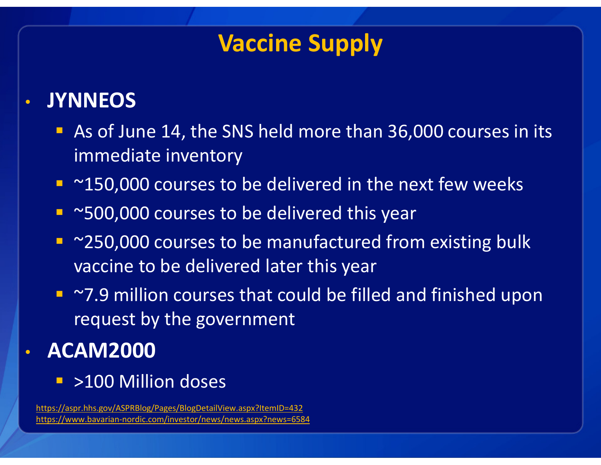# Vaccine Supply

#### •**JYNNEOS**

- As of June 14, the SNS held more than 36,000 courses in its immediate inventory
- ~150,000 courses to be delivered in the next few weeks
- ~500,000 courses to be delivered this year
- ~250,000 courses to be manufactured from existing bulk vaccine to be delivered later this year
- ~7.9 million courses that could be filled and finished upon request by the government

#### •ACAM2000

>100 Million doses

https://aspr.hhs.gov/ASPRBlog/Pages/BlogDetailView.aspx?ItemID=432https://www.bavarian-nordic.com/investor/news/news.aspx?news=6584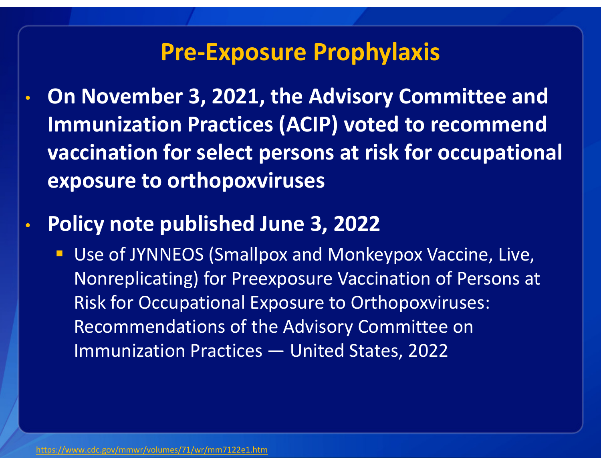### Pre-Exposure Prophylaxis

- • On November 3, 2021, the Advisory Committee and Immunization Practices (ACIP) voted to recommend vaccination for select persons at risk for occupational exposure to orthopoxviruses
- • Policy note published June 3, 2022
	- **Service Service**  Use of JYNNEOS (Smallpox and Monkeypox Vaccine, Live, Nonreplicating) for Preexposure Vaccination of Persons at Risk for Occupational Exposure to Orthopoxviruses: Recommendations of the Advisory Committee on Immunization Practices — United States, 2022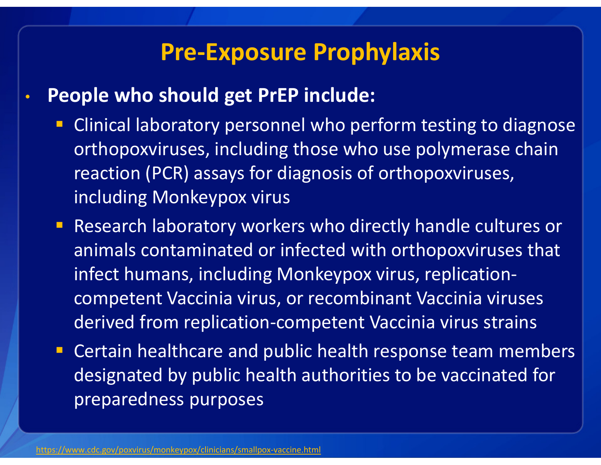### Pre-Exposure Prophylaxis

- • People who should get PrEP include:
	- **EXPLEM** Clinical laboratory personnel who perform testing to diagnose orthopoxviruses, including those who use polymerase chain reaction (PCR) assays for diagnosis of orthopoxviruses, including Monkeypox virus
	- Research laboratory workers who directly handle cultures or animals contaminated or infected with orthopoxviruses that infect humans, including Monkeypox virus, replicationcompetent Vaccinia virus, or recombinant Vaccinia viruses derived from replication-competent Vaccinia virus strains
	- **EXPERT CERTAIN FIGHTS IN A CERTAIN FIGHTS** CERTAIN MEMBER designated by public health authorities to be vaccinated for preparedness purposes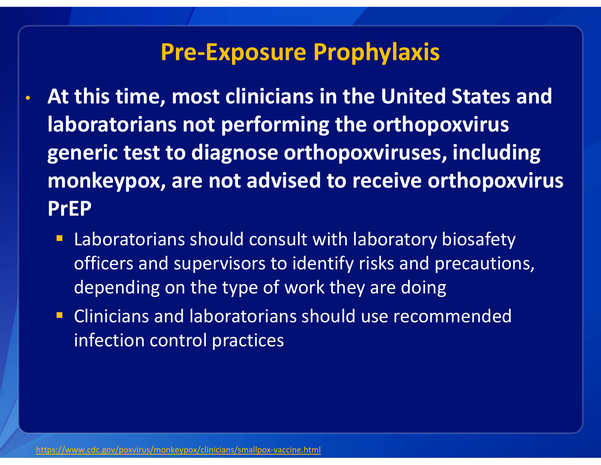### Pre-Exposure Prophylaxis

- • At this time, most clinicians in the United States and laboratorians not performing the orthopoxvirusgeneric test to diagnose orthopoxviruses, including monkeypox, are not advised to receive orthopoxvirusPrEP
	- **Service Service**  Laboratorians should consult with laboratory biosafety officers and supervisors to identify risks and precautions, depending on the type of work they are doing
	- **EXPLEE Clinicians and laboratorians should use recommended** infection control practices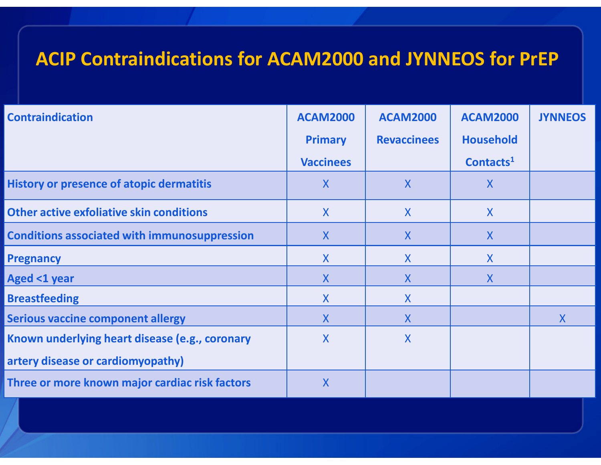#### ACIP Contraindications for ACAM2000 and JYNNEOS for PrEP

| <b>Contraindication</b>                             | <b>ACAM2000</b>  | <b>ACAM2000</b>           | <b>ACAM2000</b>       | <b>JYNNEOS</b> |
|-----------------------------------------------------|------------------|---------------------------|-----------------------|----------------|
|                                                     | <b>Primary</b>   | <b>Revaccinees</b>        | <b>Household</b>      |                |
|                                                     | <b>Vaccinees</b> |                           | Contacts <sup>1</sup> |                |
| <b>History or presence of atopic dermatitis</b>     | $\mathsf{X}$     | X                         | $\mathsf{X}$          |                |
| <b>Other active exfoliative skin conditions</b>     | $\mathsf{X}$     | X                         | $\mathsf{X}$          |                |
| <b>Conditions associated with immunosuppression</b> | $\mathsf{X}$     | X                         | $\mathsf{X}$          |                |
| <b>Pregnancy</b>                                    | X                | $\mathsf{X}$              | $\mathsf{X}$          |                |
| <b>Aged &lt;1 year</b>                              | X                | X                         | X                     |                |
| <b>Breastfeeding</b>                                | $\mathsf{X}$     | $\mathsf{X}$              |                       |                |
| <b>Serious vaccine component allergy</b>            | $\mathsf{X}$     | X                         |                       | $\mathsf{X}$   |
| Known underlying heart disease (e.g., coronary      | $\mathsf{X}$     | $\boldsymbol{\mathsf{X}}$ |                       |                |
| artery disease or cardiomyopathy)                   |                  |                           |                       |                |
| Three or more known major cardiac risk factors      | $\mathsf{X}$     |                           |                       |                |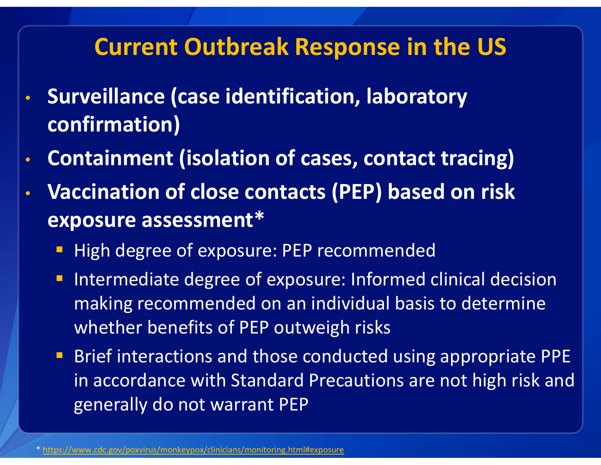# Current Outbreak Response in the US

- $\bullet$  Surveillance (case identification, laboratory confirmation)
- •Containment (isolation of cases, contact tracing)
- • Vaccination of close contacts (PEP) based on risk exposure assessment\*
	- **Service Service** High degree of exposure: PEP recommended
	- **Intermediate degree of exposure: Informed clinical decision** making recommended on an individual basis to determine whether benefits of PEP outweigh risks
	- Brief interactions and those conducted using appropriate PPE in accordance with Standard Precautions are not high risk and generally do not warrant PEP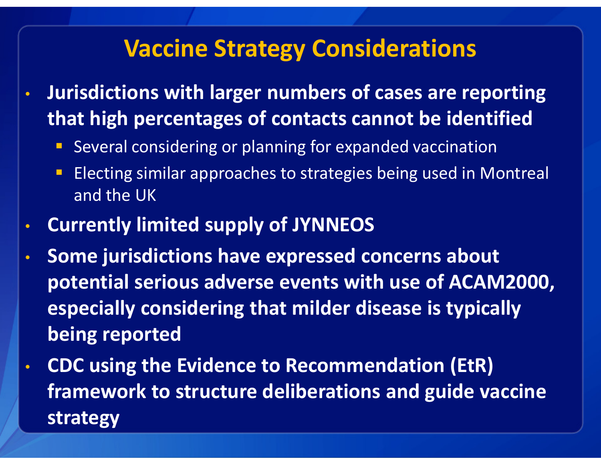# Vaccine Strategy Considerations

- • Jurisdictions with larger numbers of cases are reporting that high percentages of contacts cannot be identified
	- **Several considering or planning for expanded vaccination**
	- b. Electing similar approaches to strategies being used in Montreal and the UK
- •Currently limited supply of JYNNEOS
- • Some jurisdictions have expressed concerns about potential serious adverse events with use of ACAM2000, especially considering that milder disease is typically being reported
- • CDC using the Evidence to Recommendation (EtR) framework to structure deliberations and guide vaccine strategy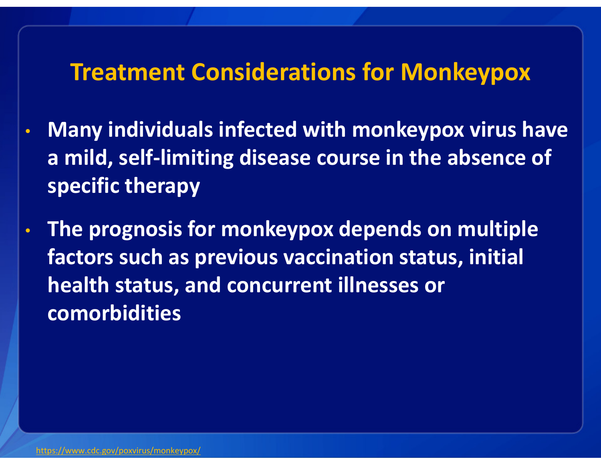### Treatment Considerations for Monkeypox

- • Many individuals infected with monkeypox virus havea mild, self-limiting disease course in the absence of specific therapy
- • The prognosis for monkeypox depends on multiple factors such as previous vaccination status, initial health status, and concurrent illnesses or comorbidities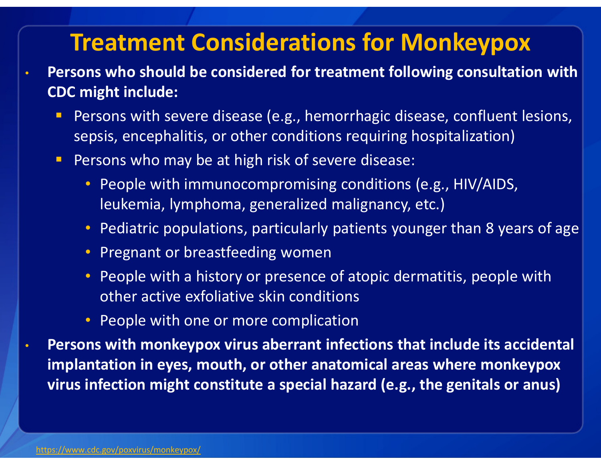# Treatment Considerations for Monkeypox

- Persons who should be considered for treatment following consultation with CDC might include:
	- **Service Service**  Persons with severe disease (e.g., hemorrhagic disease, confluent lesions, sepsis, encephalitis, or other conditions requiring hospitalization)
	- **Service Service**  Persons who may be at high risk of severe disease:
		- People with immunocompromising conditions (e.g., HIV/AIDS, leukemia, lymphoma, generalized malignancy, etc.)
		- Pediatric populations, particularly patients younger than 8 years of age
		- Pregnant or breastfeeding women
		- People with a history or presence of atopic dermatitis, people with other active exfoliative skin conditions
		- People with one or more complication
- • Persons with monkeypox virus aberrant infections that include its accidental implantation in eyes, mouth, or other anatomical areas where monkeypox virus infection might constitute a special hazard (e.g., the genitals or anus)

 $\bullet$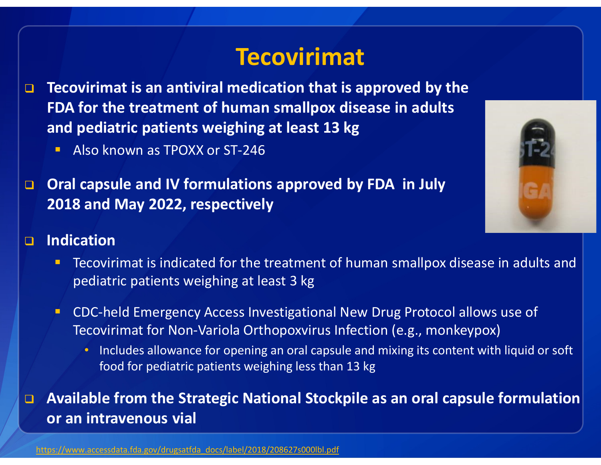# **Tecovirimat**

- $\Box$  Tecovirimat is an antiviral medication that is approved by the FDA for the treatment of human smallpox disease in adults and pediatric patients weighing at least 13 kg
	- Also known as TPOXX or ST-246
- $\Box$  Oral capsule and IV formulations approved by FDA in July 2018 and May 2022, respectively

#### $\Box$ Indication

- Tecovirimat is indicated for the treatment of human smallpox disease in adults and pediatric patients weighing at least 3 kg
- CDC-held Emergency Access Investigational New Drug Protocol allows use of Tecovirimat for Non-Variola Orthopoxvirus Infection (e.g., monkeypox)
	- Includes allowance for opening an oral capsule and mixing its content with liquid or soft food for pediatric patients weighing less than 13 kg

#### $\Box$  Available from the Strategic National Stockpile as an oral capsule formulation or an intravenous vial

https://www.accessdata.fda.gov/drugsatfda\_docs/label/2018/208627s000lbl.pdf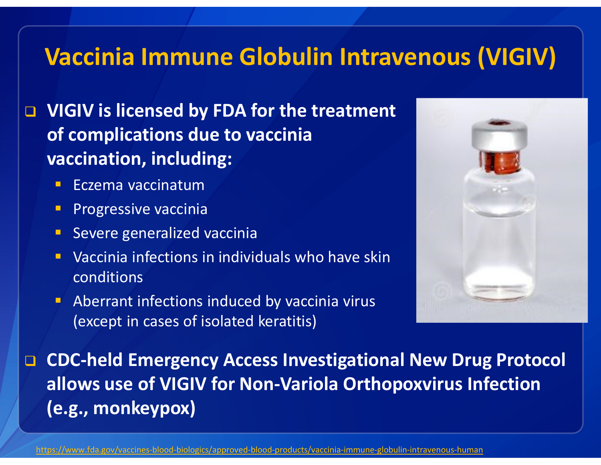# Vaccinia Immune Globulin Intravenous (VIGIV)

**Q** VIGIV is licensed by FDA for the treatment of complications due to vaccinia vaccination, including:

- Eczema vaccinatum
- **Progressive vaccinia**
- **Severe generalized vaccinia**
- **•** Vaccinia infections in individuals who have skin conditions
- Aberrant infections induced by vaccinia virus (except in cases of isolated keratitis)



**Q CDC-held Emergency Access Investigational New Drug Protocol** allows use of VIGIV for Non-Variola Orthopoxvirus Infection (e.g., monkeypox)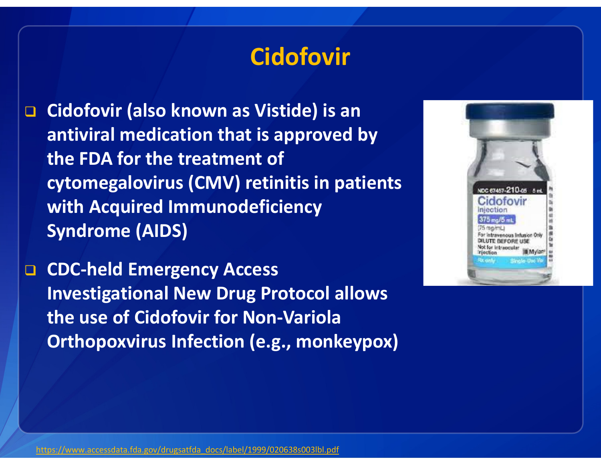# **Cidofovir**

 $\Box$  Cidofovir (also known as Vistide) is an antiviral medication that is approved by the FDA for the treatment of cytomegalovirus (CMV) retinitis in patients with Acquired Immunodeficiency Syndrome (AIDS)

**Q CDC-held Emergency Access** Investigational New Drug Protocol allows the use of Cidofovir for Non-Variola Orthopoxvirus Infection (e.g., monkeypox)

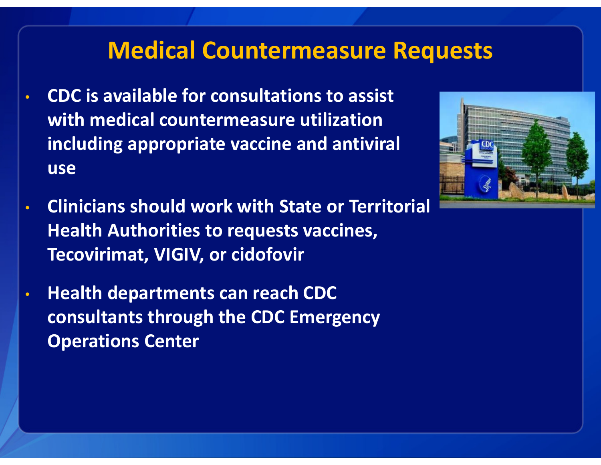# Medical Countermeasure Requests

- $\bullet$  CDC is available for consultations to assist with medical countermeasure utilization including appropriate vaccine and antiviral use
- $\bullet$  Clinicians should work with State or Territorial Health Authorities to requests vaccines, Tecovirimat, VIGIV, or cidofovir
- • Health departments can reach CDC consultants through the CDC Emergency Operations Center